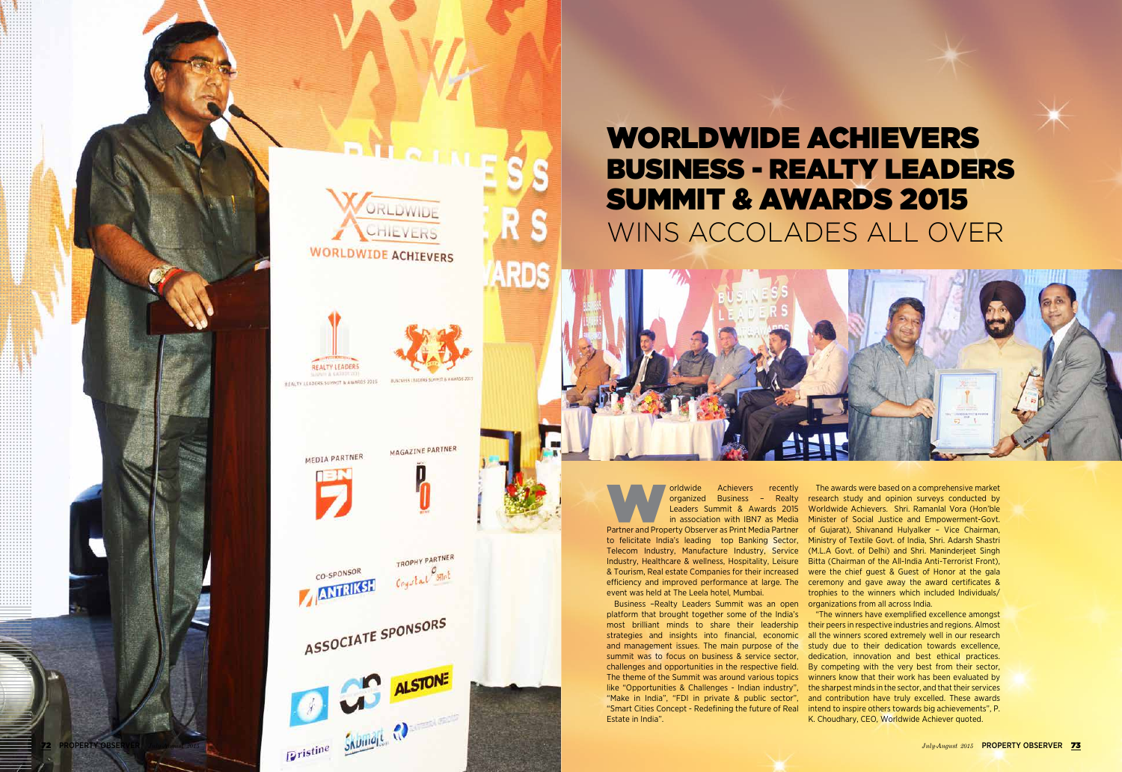



# **REALTY LEADERS** REALTY LEADERS SUMMIT & AWARDS 2015 MAGAZINE PARTNER MEDIA PARTNER





TROPHY PARTNER Coy-tal<sup>O</sup>stot

LAIR

**URLDWIDE** 

**HIEVERS** 

**WORLDWIDE ACHIEVERS** 











organized Business – Realty Leaders Summit & Awards 2015 in association with IBN7 as Media

Orldwide Achievers recently<br>
Organized Business - Realty<br>
Leaders Summit & Awards 2015<br>
in association with IBN7 as Media<br>
Partner and Property Observer as Print Media Partner to felicitate India's leading top Banking Sector, Telecom Industry, Manufacture Industry, Service Industry, Healthcare & wellness, Hospitality, Leisure Bitta (Chairman of the All-India Anti-Terrorist Front), & Tourism, Real estate Companies for their increased efficiency and improved performance at large. The event was held at The Leela hotel, Mumbai.

Business –Realty Leaders Summit was an open platform that brought together some of the India's most brilliant minds to share their leadership their peersin respective industries and regions. Almost strategies and insights into financial, economic all the winners scored extremely well in our research and management issues. The main purpose of the summit was to focus on business & service sector, dedication, innovation and best ethical practices. challenges and opportunities in the respective field. The theme of the Summit was around various topics like "Opportunities & Challenges - Indian industry", "Make in India", "FDI in private & public sector", "Smart Cities Concept - Redefining the future of Real Estate in India". organizations from all across India. "The winners have exemplified excellence amongst study due to their dedication towards excellence, By competing with the very best from their sector, winners know that their work has been evaluated by the sharpest minds in the sector, and that their services and contribution have truly excelled. These awards intend to inspire others towards big achievements", P. K. Choudhary, CEO, Worldwide Achiever quoted. THE SURFALL WAS ACTED IN DEVICE ON A STATE OF A SURFACE ON THE SURFACE OF A SURFACE OF A SURFACE OF A SURFACE OF A SURFACE OF A SURFACE OF A SURFACE OF A SURFACE OF A SURFACE OF A SURFACE OF A SURFACE OF A SURFACE OF A SUR

The awards were based on a comprehensive market research study and opinion surveys conducted by Worldwide Achievers. Shri. Ramanlal Vora (Hon'ble Minister of Social Justice and Empowerment-Govt. of Gujarat), Shivanand Hulyalker – Vice Chairman, Ministry of Textile Govt. of India, Shri. Adarsh Shastri (M.L.A Govt. of Delhi) and Shri. Maninderjeet Singh were the chief guest & Guest of Honor at the gala ceremony and gave away the award certificates & trophies to the winners which included Individuals/

## WORLDWIDE ACHIEVERS BUSINESS - REALTY LEADERS SUMMIT & AWARDS 2015 WINS ACCOLADES ALL OVER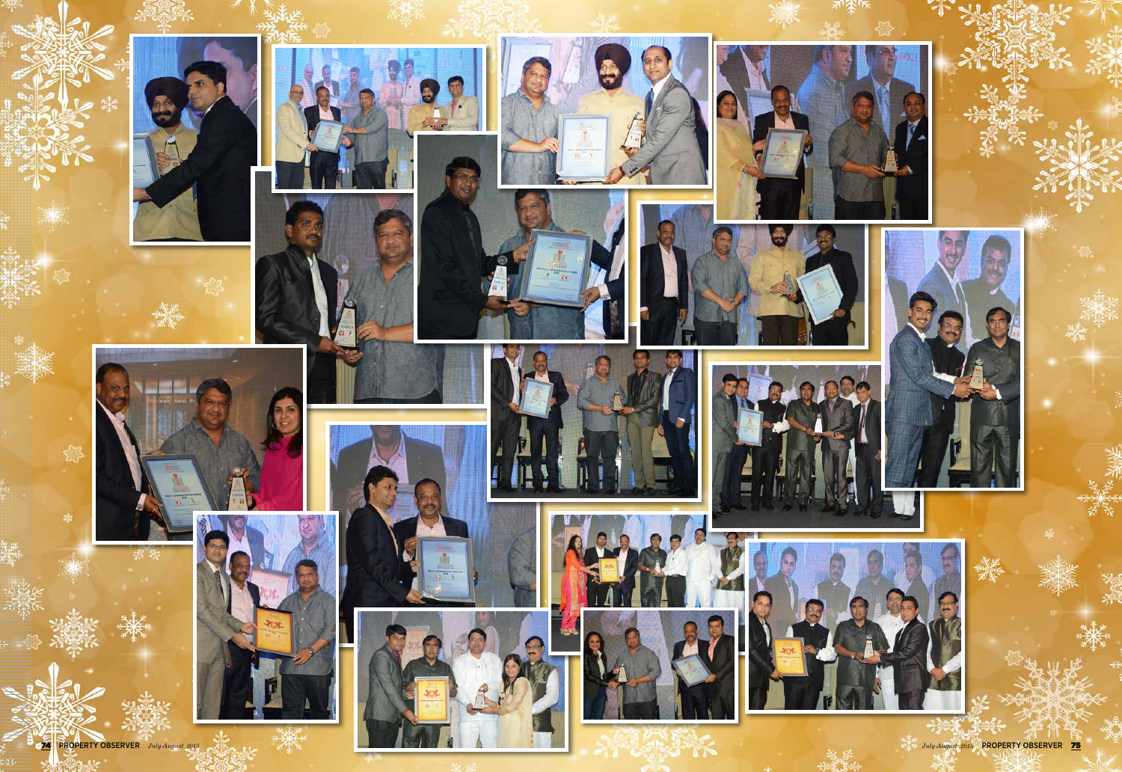